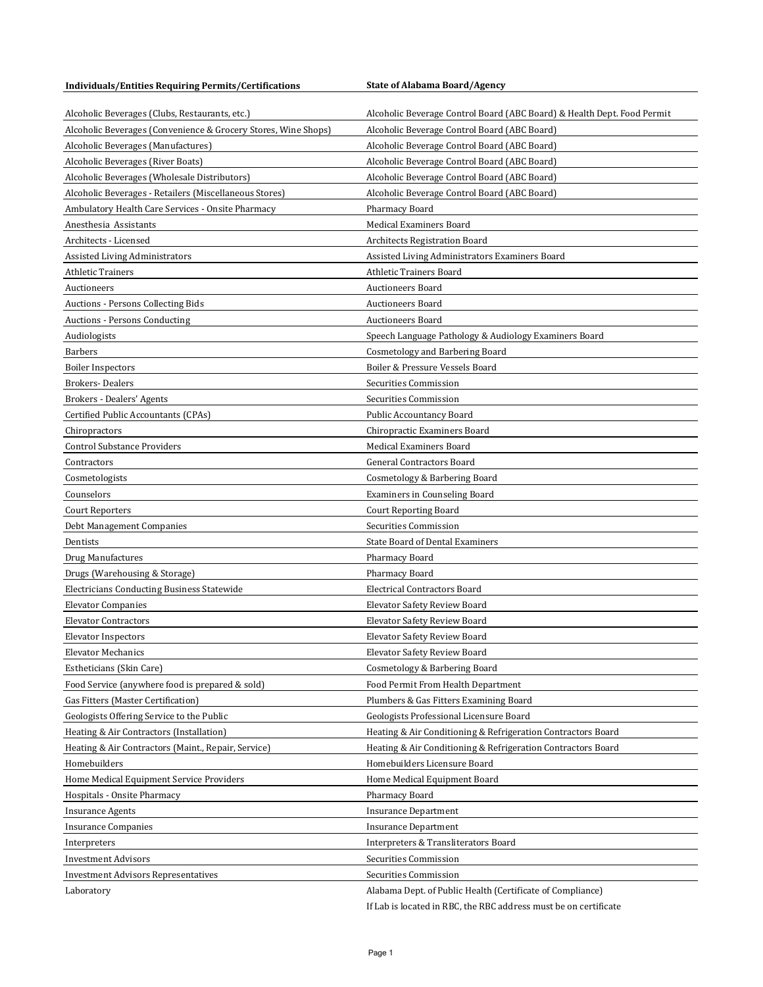**Individuals/Entities Requiring Permits/Certifications State of Alabama Board/Agency** 

| Alcoholic Beverages (Clubs, Restaurants, etc.)                 | Alcoholic Beverage Control Board (ABC Board) & Health Dept. Food Permit |
|----------------------------------------------------------------|-------------------------------------------------------------------------|
| Alcoholic Beverages (Convenience & Grocery Stores, Wine Shops) | Alcoholic Beverage Control Board (ABC Board)                            |
| Alcoholic Beverages (Manufactures)                             | Alcoholic Beverage Control Board (ABC Board)                            |
| Alcoholic Beverages (River Boats)                              | Alcoholic Beverage Control Board (ABC Board)                            |
| Alcoholic Beverages (Wholesale Distributors)                   | Alcoholic Beverage Control Board (ABC Board)                            |
| Alcoholic Beverages - Retailers (Miscellaneous Stores)         | Alcoholic Beverage Control Board (ABC Board)                            |
| Ambulatory Health Care Services - Onsite Pharmacy              | Pharmacy Board                                                          |
| Anesthesia Assistants                                          | <b>Medical Examiners Board</b>                                          |
| Architects - Licensed                                          | <b>Architects Registration Board</b>                                    |
| Assisted Living Administrators                                 | Assisted Living Administrators Examiners Board                          |
| Athletic Trainers                                              | <b>Athletic Trainers Board</b>                                          |
| Auctioneers                                                    | <b>Auctioneers Board</b>                                                |
| Auctions - Persons Collecting Bids                             | <b>Auctioneers Board</b>                                                |
| Auctions - Persons Conducting                                  | <b>Auctioneers Board</b>                                                |
| Audiologists                                                   | Speech Language Pathology & Audiology Examiners Board                   |
| <b>Barbers</b>                                                 | Cosmetology and Barbering Board                                         |
| <b>Boiler Inspectors</b>                                       | Boiler & Pressure Vessels Board                                         |
| <b>Brokers-Dealers</b>                                         | Securities Commission                                                   |
| Brokers - Dealers' Agents                                      | Securities Commission                                                   |
| Certified Public Accountants (CPAs)                            | Public Accountancy Board                                                |
| Chiropractors                                                  | Chiropractic Examiners Board                                            |
| <b>Control Substance Providers</b>                             | Medical Examiners Board                                                 |
| Contractors                                                    | <b>General Contractors Board</b>                                        |
| Cosmetologists                                                 | Cosmetology & Barbering Board                                           |
| Counselors                                                     | <b>Examiners in Counseling Board</b>                                    |
| Court Reporters                                                | <b>Court Reporting Board</b>                                            |
| Debt Management Companies                                      | Securities Commission                                                   |
| Dentists                                                       | <b>State Board of Dental Examiners</b>                                  |
|                                                                | Pharmacy Board                                                          |
| Drug Manufactures                                              | Pharmacy Board                                                          |
| Drugs (Warehousing & Storage)                                  | <b>Electrical Contractors Board</b>                                     |
| Electricians Conducting Business Statewide                     |                                                                         |
| <b>Elevator Companies</b>                                      | <b>Elevator Safety Review Board</b>                                     |
| <b>Elevator Contractors</b>                                    | <b>Elevator Safety Review Board</b>                                     |
| <b>Elevator Inspectors</b>                                     | <b>Elevator Safety Review Board</b>                                     |
| <b>Elevator Mechanics</b>                                      | <b>Elevator Safety Review Board</b>                                     |
| Estheticians (Skin Care)                                       | Cosmetology & Barbering Board                                           |
| Food Service (anywhere food is prepared & sold)                | Food Permit From Health Department                                      |
| Gas Fitters (Master Certification)                             | Plumbers & Gas Fitters Examining Board                                  |
| Geologists Offering Service to the Public                      | Geologists Professional Licensure Board                                 |
| Heating & Air Contractors (Installation)                       | Heating & Air Conditioning & Refrigeration Contractors Board            |
| Heating & Air Contractors (Maint., Repair, Service)            | Heating & Air Conditioning & Refrigeration Contractors Board            |
| Homebuilders                                                   | Homebuilders Licensure Board                                            |
| Home Medical Equipment Service Providers                       | Home Medical Equipment Board                                            |
| Hospitals - Onsite Pharmacy                                    | Pharmacy Board                                                          |
| <b>Insurance Agents</b>                                        | <b>Insurance Department</b>                                             |
| <b>Insurance Companies</b>                                     | <b>Insurance Department</b>                                             |
| Interpreters                                                   | Interpreters & Transliterators Board                                    |
| <b>Investment Advisors</b>                                     | Securities Commission                                                   |
| <b>Investment Advisors Representatives</b>                     | Securities Commission                                                   |
| Laboratory                                                     | Alabama Dept. of Public Health (Certificate of Compliance)              |
|                                                                | If Lab is located in RBC, the RBC address must be on certificate        |